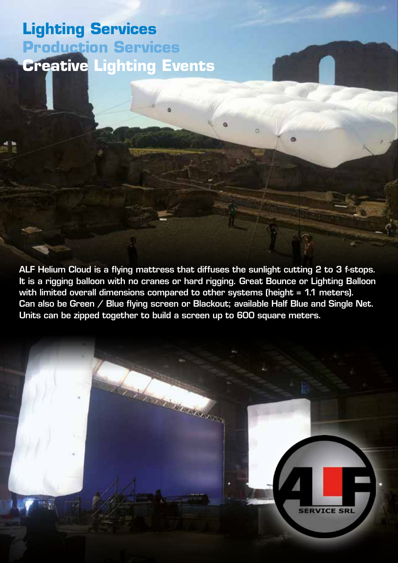## **Lighting Services Production Services Creative Lighting Events**

ALF Helium Cloud is a flying mattress that diffuses the sunlight cutting 2 to 3 f-stops. It is a rigging balloon with no cranes or hard rigging. Great Bounce or Lighting Balloon with limited overall dimensions compared to other systems (height = 1.1 meters). Can also be Green / Blue flying screen or Blackout; available Half Blue and Single Net. Units can be zipped together to build a screen up to 600 square meters.

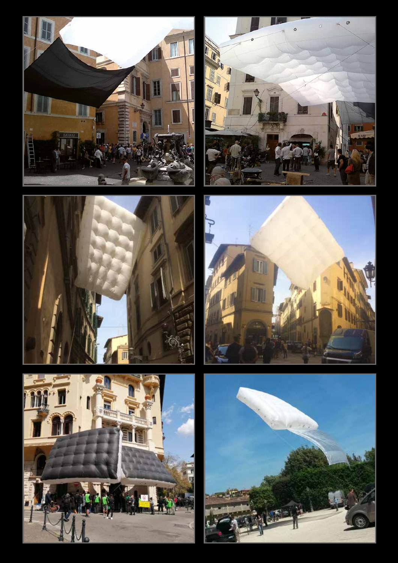









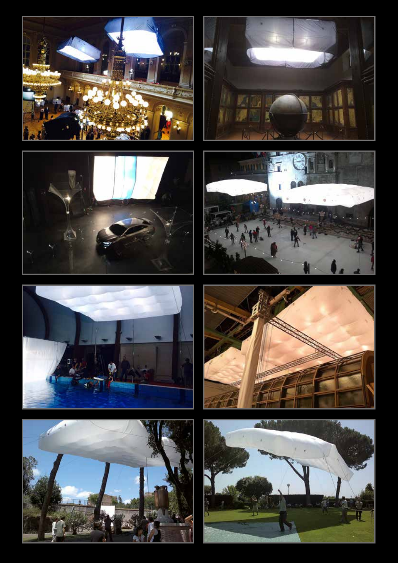